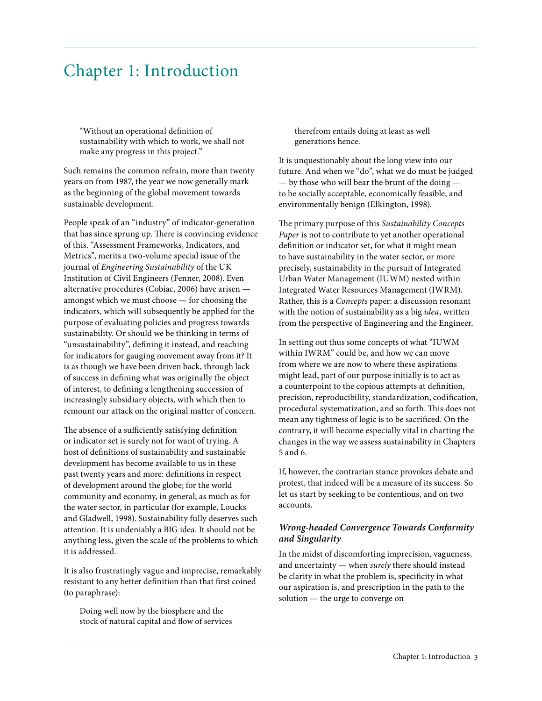# Chapter 1: Introduction

"Without an operational definition of sustainability with which to work, we shall not make any progress in this project."

Such remains the common refrain, more than twenty years on from 1987, the year we now generally mark as the beginning of the global movement towards sustainable development.

People speak of an "industry" of indicator-generation that has since sprung up. There is convincing evidence of this. "Assessment Frameworks, Indicators, and Metrics", merits a two-volume special issue of the journal of *Engineering Sustainability* of the UK Institution of Civil Engineers (Fenner, 2008). Even alternative procedures (Cobiac, 2006) have arisen amongst which we must choose — for choosing the indicators, which will subsequently be applied for the purpose of evaluating policies and progress towards sustainability. Or should we be thinking in terms of "unsustainability", defining it instead, and reaching for indicators for gauging movement away from it? It is as though we have been driven back, through lack of success in defining what was originally the object of interest, to defining a lengthening succession of increasingly subsidiary objects, with which then to remount our attack on the original matter of concern.

The absence of a sufficiently satisfying definition or indicator set is surely not for want of trying. A host of definitions of sustainability and sustainable development has become available to us in these past twenty years and more: definitions in respect of development around the globe; for the world community and economy, in general; as much as for the water sector, in particular (for example, Loucks and Gladwell, 1998). Sustainability fully deserves such attention. It is undeniably a BIG idea. It should not be anything less, given the scale of the problems to which it is addressed.

It is also frustratingly vague and imprecise, remarkably resistant to any better definition than that first coined (to paraphrase):

Doing well now by the biosphere and the stock of natural capital and flow of services therefrom entails doing at least as well generations hence.

It is unquestionably about the long view into our future. And when we "do", what we do must be judged — by those who will bear the brunt of the doing to be socially acceptable, economically feasible, and environmentally benign (Elkington, 1998).

The primary purpose of this *Sustainability Concepts Paper* is not to contribute to yet another operational definition or indicator set, for what it might mean to have sustainability in the water sector, or more precisely, sustainability in the pursuit of Integrated Urban Water Management (IUWM) nested within Integrated Water Resources Management (IWRM). Rather, this is a *Concepts* paper: a discussion resonant with the notion of sustainability as a big *idea*, written from the perspective of Engineering and the Engineer.

In setting out thus some concepts of what "IUWM within IWRM" could be, and how we can move from where we are now to where these aspirations might lead, part of our purpose initially is to act as a counterpoint to the copious attempts at definition, precision, reproducibility, standardization, codification, procedural systematization, and so forth. This does not mean any tightness of logic is to be sacrificed. On the contrary, it will become especially vital in charting the changes in the way we assess sustainability in Chapters 5 and 6.

If, however, the contrarian stance provokes debate and protest, that indeed will be a measure of its success. So let us start by seeking to be contentious, and on two accounts.

## *Wrong-headed Convergence Towards Conformity and Singularity*

In the midst of discomforting imprecision, vagueness, and uncertainty — when *surely* there should instead be clarity in what the problem is, specificity in what our aspiration is, and prescription in the path to the solution — the urge to converge on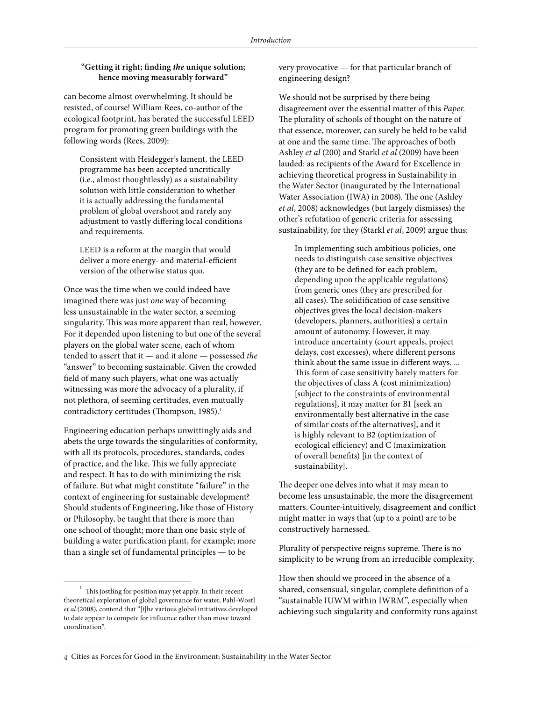#### **"Getting it right; finding** *the* **unique solution; hence moving measurably forward"**

can become almost overwhelming. It should be resisted, of course! William Rees, co-author of the ecological footprint, has berated the successful LEED program for promoting green buildings with the following words (Rees, 2009):

Consistent with Heidegger's lament, the LEED programme has been accepted uncritically (i.e., almost thoughtlessly) as a sustainability solution with little consideration to whether it is actually addressing the fundamental problem of global overshoot and rarely any adjustment to vastly differing local conditions and requirements.

LEED is a reform at the margin that would deliver a more energy- and material-efficient version of the otherwise status quo.

Once was the time when we could indeed have imagined there was just *one* way of becoming less unsustainable in the water sector, a seeming singularity. This was more apparent than real, however. For it depended upon listening to but one of the several players on the global water scene, each of whom tended to assert that it — and it alone — possessed *the* "answer" to becoming sustainable. Given the crowded field of many such players, what one was actually witnessing was more the advocacy of a plurality, if not plethora, of seeming certitudes, even mutually contradictory certitudes (Thompson, 1985).<sup>1</sup>

Engineering education perhaps unwittingly aids and abets the urge towards the singularities of conformity, with all its protocols, procedures, standards, codes of practice, and the like. This we fully appreciate and respect. It has to do with minimizing the risk of failure. But what might constitute "failure" in the context of engineering for sustainable development? Should students of Engineering, like those of History or Philosophy, be taught that there is more than one school of thought; more than one basic style of building a water purification plant, for example; more than a single set of fundamental principles — to be

very provocative — for that particular branch of engineering design?

We should not be surprised by there being disagreement over the essential matter of this *Paper*. The plurality of schools of thought on the nature of that essence, moreover, can surely be held to be valid at one and the same time. The approaches of both Ashley *et al* (200) and Starkl *et al* (2009) have been lauded: as recipients of the Award for Excellence in achieving theoretical progress in Sustainability in the Water Sector (inaugurated by the International Water Association (IWA) in 2008). The one (Ashley *et al*, 2008) acknowledges (but largely dismisses) the other's refutation of generic criteria for assessing sustainability, for they (Starkl *et al*, 2009) argue thus:

In implementing such ambitious policies, one needs to distinguish case sensitive objectives (they are to be defined for each problem, depending upon the applicable regulations) from generic ones (they are prescribed for all cases). The solidification of case sensitive objectives gives the local decision-makers (developers, planners, authorities) a certain amount of autonomy. However, it may introduce uncertainty (court appeals, project delays, cost excesses), where different persons think about the same issue in different ways. ... This form of case sensitivity barely matters for the objectives of class A (cost minimization) [subject to the constraints of environmental regulations], it may matter for B1 [seek an environmentally best alternative in the case of similar costs of the alternatives], and it is highly relevant to B2 (optimization of ecological efficiency) and C (maximization of overall benefits) [in the context of sustainability].

The deeper one delves into what it may mean to become less unsustainable, the more the disagreement matters. Counter-intuitively, disagreement and conflict might matter in ways that (up to a point) are to be constructively harnessed.

Plurality of perspective reigns supreme. There is no simplicity to be wrung from an irreducible complexity.

How then should we proceed in the absence of a shared, consensual, singular, complete definition of a "sustainable IUWM within IWRM", especially when achieving such singularity and conformity runs against

 $^{\rm 1}~$  This jostling for position may yet apply. In their recent theoretical exploration of global governance for water, Pahl-Wostl *et al* (2008), contend that "[t]he various global initiatives developed to date appear to compete for influence rather than move toward coordination".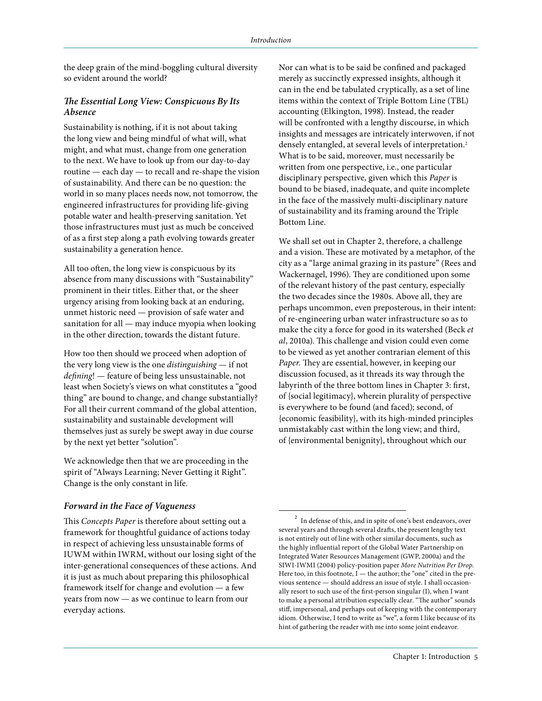the deep grain of the mind-boggling cultural diversity so evident around the world?

## *The Essential Long View: Conspicuous By Its Absence*

Sustainability is nothing, if it is not about taking the long view and being mindful of what will, what might, and what must, change from one generation to the next. We have to look up from our day-to-day routine — each day — to recall and re-shape the vision of sustainability. And there can be no question: the world in so many places needs now, not tomorrow, the engineered infrastructures for providing life-giving potable water and health-preserving sanitation. Yet those infrastructures must just as much be conceived of as a first step along a path evolving towards greater sustainability a generation hence.

All too often, the long view is conspicuous by its absence from many discussions with "Sustainability" prominent in their titles. Either that, or the sheer urgency arising from looking back at an enduring, unmet historic need — provision of safe water and sanitation for all — may induce myopia when looking in the other direction, towards the distant future.

How too then should we proceed when adoption of the very long view is the one *distinguishing* — if not *defining*! — feature of being less unsustainable, not least when Society's views on what constitutes a "good thing" are bound to change, and change substantially? For all their current command of the global attention, sustainability and sustainable development will themselves just as surely be swept away in due course by the next yet better "solution".

We acknowledge then that we are proceeding in the spirit of "Always Learning; Never Getting it Right". Change is the only constant in life.

## *Forward in the Face of Vagueness*

This *Concepts Paper* is therefore about setting out a framework for thoughtful guidance of actions today in respect of achieving less unsustainable forms of IUWM within IWRM, without our losing sight of the inter-generational consequences of these actions. And it is just as much about preparing this philosophical framework itself for change and evolution — a few years from now — as we continue to learn from our everyday actions.

Nor can what is to be said be confined and packaged merely as succinctly expressed insights, although it can in the end be tabulated cryptically, as a set of line items within the context of Triple Bottom Line (TBL) accounting (Elkington, 1998). Instead, the reader will be confronted with a lengthy discourse, in which insights and messages are intricately interwoven, if not densely entangled, at several levels of interpretation.<sup>2</sup> What is to be said, moreover, must necessarily be written from one perspective, i.e., one particular disciplinary perspective, given which this *Paper* is bound to be biased, inadequate, and quite incomplete in the face of the massively multi-disciplinary nature of sustainability and its framing around the Triple Bottom Line.

We shall set out in Chapter 2, therefore, a challenge and a vision. These are motivated by a metaphor, of the city as a "large animal grazing in its pasture" (Rees and Wackernagel, 1996). They are conditioned upon some of the relevant history of the past century, especially the two decades since the 1980s. Above all, they are perhaps uncommon, even preposterous, in their intent: of re-engineering urban water infrastructure so as to make the city a force for good in its watershed (Beck *et al*, 2010a). This challenge and vision could even come to be viewed as yet another contrarian element of this *Paper.* They are essential, however, in keeping our discussion focused, as it threads its way through the labyrinth of the three bottom lines in Chapter 3: first, of {social legitimacy}, wherein plurality of perspective is everywhere to be found (and faced); second, of {economic feasibility}, with its high-minded principles unmistakably cast within the long view; and third, of {environmental benignity}, throughout which our

 $^{\rm 2}$  In defense of this, and in spite of one's best endeavors, over several years and through several drafts, the present lengthy text is not entirely out of line with other similar documents, such as the highly influential report of the Global Water Partnership on Integrated Water Resources Management (GWP, 2000a) and the SIWI-IWMI (2004) policy-position paper *More Nutrition Per Drop*. Here too, in this footnote, I — the author; the "one" cited in the previous sentence — should address an issue of style. I shall occasionally resort to such use of the first-person singular (I), when I want to make a personal attribution especially clear. "The author" sounds stiff, impersonal, and perhaps out of keeping with the contemporary idiom. Otherwise, I tend to write as "we", a form I like because of its hint of gathering the reader with me into some joint endeavor.